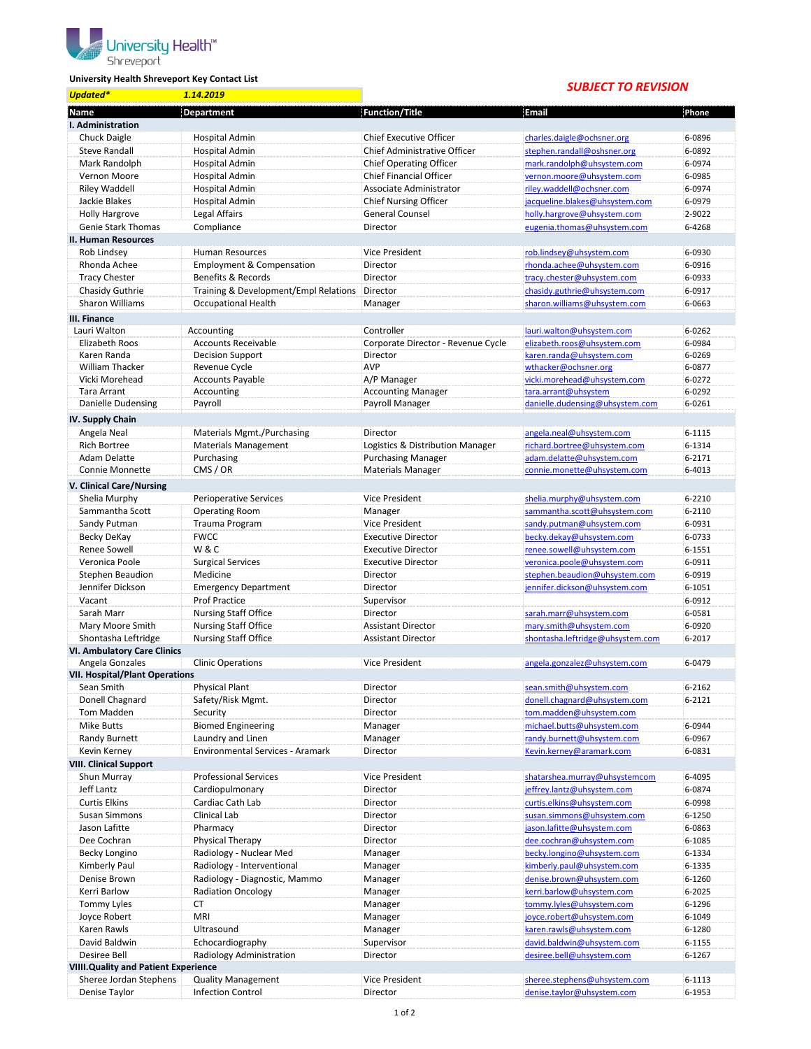

## **University Health Shreveport Key Contact List**

## *SUBJECT TO REVISION*

| <b>Updated*</b>                                    | 1.14.2019                             |                                     | SUBJECT TO REVISION                                        |            |
|----------------------------------------------------|---------------------------------------|-------------------------------------|------------------------------------------------------------|------------|
| Name                                               | Department                            | <b>Function/Title</b>               | Email                                                      | Phone      |
| I. Administration                                  |                                       |                                     |                                                            |            |
| Chuck Daigle                                       | <b>Hospital Admin</b>                 | <b>Chief Executive Officer</b>      | charles.daigle@ochsner.org                                 | 6-0896     |
| <b>Steve Randall</b>                               | <b>Hospital Admin</b>                 | <b>Chief Administrative Officer</b> | stephen.randall@oshsner.org                                | 6-0892     |
| Mark Randolph                                      | Hospital Admin                        | <b>Chief Operating Officer</b>      | mark.randolph@uhsystem.com                                 | 6-0974     |
| Vernon Moore                                       | Hospital Admin                        | <b>Chief Financial Officer</b>      | vernon.moore@uhsystem.com                                  | 6-0985     |
| Riley Waddell                                      | <b>Hospital Admin</b>                 | Associate Administrator             | riley.waddell@ochsner.com                                  | 6-0974     |
| Jackie Blakes                                      | <b>Hospital Admin</b>                 | <b>Chief Nursing Officer</b>        | jacqueline.blakes@uhsystem.com                             | 6-0979     |
|                                                    | Legal Affairs                         | <b>General Counsel</b>              |                                                            | 2-9022     |
| <b>Holly Hargrove</b><br><b>Genie Stark Thomas</b> | Compliance                            | Director                            | holly.hargrove@uhsystem.com<br>eugenia.thomas@uhsystem.com | 6-4268     |
|                                                    |                                       |                                     |                                                            |            |
| II. Human Resources                                |                                       |                                     |                                                            |            |
| Rob Lindsey                                        | <b>Human Resources</b>                | <b>Vice President</b>               | rob.lindsey@uhsystem.com                                   | 6-0930     |
| Rhonda Achee                                       | <b>Employment &amp; Compensation</b>  | Director                            | rhonda.achee@uhsystem.com                                  | 6-0916     |
| <b>Tracy Chester</b>                               | Benefits & Records                    | Director                            | tracy.chester@uhsystem.com                                 | 6-0933     |
| Chasidy Guthrie                                    | Training & Development/Empl Relations | Director                            | chasidy.guthrie@uhsystem.com                               | 6-0917     |
| Sharon Williams                                    | <b>Occupational Health</b>            | Manager                             | sharon.williams@uhsystem.com                               | 6-0663     |
| III. Finance                                       |                                       |                                     |                                                            |            |
| Lauri Walton                                       | Accounting                            | Controller                          | lauri.walton@uhsystem.com                                  | 6-0262     |
| Elizabeth Roos                                     | <b>Accounts Receivable</b>            | Corporate Director - Revenue Cycle  | elizabeth.roos@uhsystem.com                                | 6-0984     |
| Karen Randa                                        | <b>Decision Support</b>               | Director                            | karen.randa@uhsystem.com                                   | 6-0269     |
| <b>William Thacker</b>                             | Revenue Cycle                         | <b>AVP</b>                          | wthacker@ochsner.org                                       | 6-0877     |
| Vicki Morehead                                     | Accounts Payable                      | A/P Manager                         | vicki.morehead@uhsystem.com                                | 6-0272     |
| Tara Arrant                                        | Accounting                            | <b>Accounting Manager</b>           | tara.arrant@uhsystem                                       | 6-0292     |
| Danielle Dudensing                                 | Payroll                               | Payroll Manager                     | danielle.dudensing@uhsystem.com                            | 6-0261     |
| IV. Supply Chain                                   |                                       |                                     |                                                            |            |
| Angela Neal                                        | Materials Mgmt./Purchasing            | Director                            | angela.neal@uhsystem.com                                   | 6-1115     |
| <b>Rich Bortree</b>                                | <b>Materials Management</b>           | Logistics & Distribution Manager    | richard.bortree@uhsystem.com                               | 6-1314     |
| Adam Delatte                                       | Purchasing                            | <b>Purchasing Manager</b>           | adam.delatte@uhsystem.com                                  | 6-2171     |
| Connie Monnette                                    | CMS / OR                              | <b>Materials Manager</b>            | connie.monette@uhsystem.com                                | 6-4013     |
| V. Clinical Care/Nursing                           |                                       |                                     |                                                            |            |
|                                                    |                                       | Vice President                      |                                                            | $6 - 2210$ |
| Shelia Murphy                                      | <b>Perioperative Services</b>         |                                     | shelia.murphy@uhsystem.com                                 |            |
| Sammantha Scott                                    | <b>Operating Room</b>                 | Manager                             | sammantha.scott@uhsystem.com                               | 6-2110     |
| Sandy Putman                                       | Trauma Program                        | Vice President                      | sandy.putman@uhsystem.com                                  | 6-0931     |
| Becky DeKay                                        | <b>FWCC</b>                           | <b>Executive Director</b>           | becky.dekay@uhsystem.com                                   | 6-0733     |
| Renee Sowell                                       | W&C                                   | <b>Executive Director</b>           | renee.sowell@uhsystem.com                                  | 6-1551     |
| Veronica Poole                                     | <b>Surgical Services</b>              | <b>Executive Director</b>           | veronica.poole@uhsystem.com                                | 6-0911     |
| Stephen Beaudion                                   | Medicine                              | Director                            | stephen.beaudion@uhsystem.com                              | 6-0919     |
| Jennifer Dickson                                   | <b>Emergency Department</b>           | Director                            | jennifer.dickson@uhsystem.com                              | 6-1051     |
| Vacant                                             | <b>Prof Practice</b>                  | Supervisor                          |                                                            | 6-0912     |
| Sarah Marr                                         | <b>Nursing Staff Office</b>           | Director                            | sarah.marr@uhsystem.com                                    | 6-0581     |
| Mary Moore Smith                                   | <b>Nursing Staff Office</b>           | <b>Assistant Director</b>           | mary.smith@uhsystem.com                                    | 6-0920     |
| Shontasha Leftridge                                | <b>Nursing Staff Office</b>           | <b>Assistant Director</b>           | shontasha.leftridge@uhsystem.com                           | 6-2017     |
| <b>VI. Ambulatory Care Clinics</b>                 |                                       |                                     |                                                            |            |
| Angela Gonzales                                    | <b>Clinic Operations</b>              | <b>Vice President</b>               | angela.gonzalez@uhsystem.com                               | 6-0479     |
| <b>VII. Hospital/Plant Operations</b>              |                                       |                                     |                                                            |            |
| Sean Smith                                         | <b>Physical Plant</b>                 | Director                            | sean.smith@uhsystem.com                                    | 6-2162     |
| Donell Chagnard                                    | Safety/Risk Mgmt.                     | Director                            | donell.chagnard@uhsystem.com                               | 6-2121     |
| Tom Madden                                         | Security                              | Director                            | tom.madden@uhsystem.com                                    |            |
| <b>Mike Butts</b>                                  | <b>Biomed Engineering</b>             | Manager                             | michael.butts@uhsystem.com                                 | 6-0944     |
| Randy Burnett                                      | Laundry and Linen                     | Manager                             | randy.burnett@uhsystem.com                                 | 6-0967     |
| Kevin Kerney                                       | Environmental Services - Aramark      | Director                            | Kevin.kerney@aramark.com                                   | 6-0831     |
| <b>VIII. Clinical Support</b>                      |                                       |                                     |                                                            |            |
| Shun Murray                                        | <b>Professional Services</b>          | Vice President                      | shatarshea.murray@uhsystemcom                              | 6-4095     |
| Jeff Lantz                                         | Cardiopulmonary                       | Director                            | jeffrey.lantz@uhsystem.com                                 | 6-0874     |
| <b>Curtis Elkins</b>                               | Cardiac Cath Lab                      | Director                            | curtis.elkins@uhsystem.com                                 | 6-0998     |
| <b>Susan Simmons</b>                               | Clinical Lab                          | Director                            | susan.simmons@uhsystem.com                                 | 6-1250     |
| Jason Lafitte                                      | Pharmacy                              | Director                            | jason.lafitte@uhsystem.com                                 | 6-0863     |
| Dee Cochran                                        | Physical Therapy                      | Director                            | dee.cochran@uhsystem.com                                   | 6-1085     |
| Becky Longino                                      | Radiology - Nuclear Med               | Manager                             | becky.longino@uhsystem.com                                 | 6-1334     |
| Kimberly Paul                                      | Radiology - Interventional            | Manager                             | kimberly.paul@uhsystem.com                                 | 6-1335     |
| Denise Brown                                       | Radiology - Diagnostic, Mammo         | Manager                             | denise.brown@uhsystem.com                                  | 6-1260     |
| Kerri Barlow                                       | <b>Radiation Oncology</b>             | Manager                             | kerri.barlow@uhsystem.com                                  | 6-2025     |
| Tommy Lyles                                        | СT                                    | Manager                             | tommy.lyles@uhsystem.com                                   | 6-1296     |
| Joyce Robert                                       | <b>MRI</b>                            | Manager                             | joyce.robert@uhsystem.com                                  | 6-1049     |
| Karen Rawls                                        | Ultrasound                            | Manager                             | karen.rawls@uhsystem.com                                   | 6-1280     |
| David Baldwin                                      | Echocardiography                      | Supervisor                          | david.baldwin@uhsystem.com                                 | 6-1155     |
| <b>Desiree Bell</b>                                | Radiology Administration              | Director                            | desiree.bell@uhsystem.com                                  | 6-1267     |
| <b>VIIII.Quality and Patient Experience</b>        |                                       |                                     |                                                            |            |
| Sheree Jordan Stephens                             | <b>Quality Management</b>             | Vice President                      | sheree.stephens@uhsystem.com                               | 6-1113     |
|                                                    |                                       |                                     |                                                            |            |
| Denise Taylor                                      | <b>Infection Control</b>              | Director                            | denise.taylor@uhsystem.com                                 | 6-1953     |